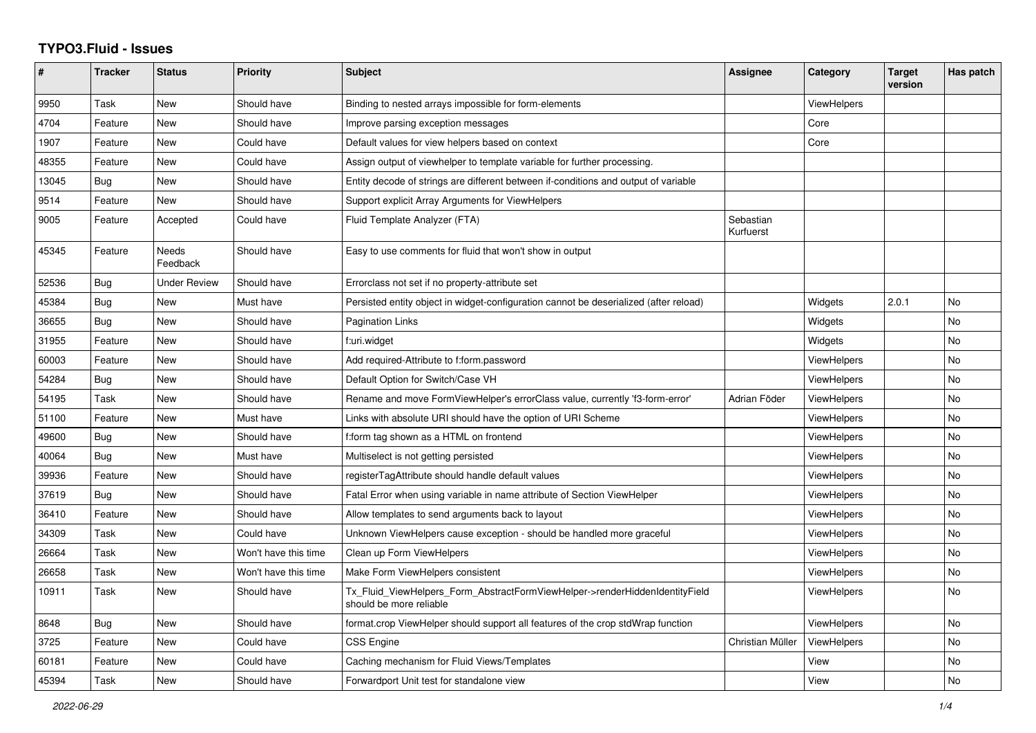## **TYPO3.Fluid - Issues**

| #     | <b>Tracker</b> | <b>Status</b>     | <b>Priority</b>      | Subject                                                                                                | Assignee               | Category           | <b>Target</b><br>version | Has patch |
|-------|----------------|-------------------|----------------------|--------------------------------------------------------------------------------------------------------|------------------------|--------------------|--------------------------|-----------|
| 9950  | Task           | <b>New</b>        | Should have          | Binding to nested arrays impossible for form-elements                                                  |                        | ViewHelpers        |                          |           |
| 4704  | Feature        | <b>New</b>        | Should have          | Improve parsing exception messages                                                                     |                        | Core               |                          |           |
| 1907  | Feature        | New               | Could have           | Default values for view helpers based on context                                                       |                        | Core               |                          |           |
| 48355 | Feature        | New               | Could have           | Assign output of viewhelper to template variable for further processing.                               |                        |                    |                          |           |
| 13045 | Bug            | New               | Should have          | Entity decode of strings are different between if-conditions and output of variable                    |                        |                    |                          |           |
| 9514  | Feature        | <b>New</b>        | Should have          | Support explicit Array Arguments for ViewHelpers                                                       |                        |                    |                          |           |
| 9005  | Feature        | Accepted          | Could have           | Fluid Template Analyzer (FTA)                                                                          | Sebastian<br>Kurfuerst |                    |                          |           |
| 45345 | Feature        | Needs<br>Feedback | Should have          | Easy to use comments for fluid that won't show in output                                               |                        |                    |                          |           |
| 52536 | <b>Bug</b>     | Under Review      | Should have          | Errorclass not set if no property-attribute set                                                        |                        |                    |                          |           |
| 45384 | Bug            | <b>New</b>        | Must have            | Persisted entity object in widget-configuration cannot be deserialized (after reload)                  |                        | Widgets            | 2.0.1                    | <b>No</b> |
| 36655 | Bug            | <b>New</b>        | Should have          | Pagination Links                                                                                       |                        | Widgets            |                          | <b>No</b> |
| 31955 | Feature        | New               | Should have          | f:uri.widget                                                                                           |                        | Widgets            |                          | No        |
| 60003 | Feature        | New               | Should have          | Add required-Attribute to f:form.password                                                              |                        | ViewHelpers        |                          | No        |
| 54284 | Bug            | <b>New</b>        | Should have          | Default Option for Switch/Case VH                                                                      |                        | <b>ViewHelpers</b> |                          | <b>No</b> |
| 54195 | Task           | New               | Should have          | Rename and move FormViewHelper's errorClass value, currently 'f3-form-error'                           | Adrian Föder           | ViewHelpers        |                          | No        |
| 51100 | Feature        | New               | Must have            | Links with absolute URI should have the option of URI Scheme                                           |                        | ViewHelpers        |                          | No        |
| 49600 | <b>Bug</b>     | New               | Should have          | f:form tag shown as a HTML on frontend                                                                 |                        | <b>ViewHelpers</b> |                          | No        |
| 40064 | Bug            | <b>New</b>        | Must have            | Multiselect is not getting persisted                                                                   |                        | ViewHelpers        |                          | <b>No</b> |
| 39936 | Feature        | New               | Should have          | registerTagAttribute should handle default values                                                      |                        | <b>ViewHelpers</b> |                          | No        |
| 37619 | Bug            | New               | Should have          | Fatal Error when using variable in name attribute of Section ViewHelper                                |                        | <b>ViewHelpers</b> |                          | No        |
| 36410 | Feature        | New               | Should have          | Allow templates to send arguments back to layout                                                       |                        | <b>ViewHelpers</b> |                          | No        |
| 34309 | Task           | <b>New</b>        | Could have           | Unknown ViewHelpers cause exception - should be handled more graceful                                  |                        | ViewHelpers        |                          | <b>No</b> |
| 26664 | Task           | New               | Won't have this time | Clean up Form ViewHelpers                                                                              |                        | <b>ViewHelpers</b> |                          | No        |
| 26658 | Task           | New               | Won't have this time | Make Form ViewHelpers consistent                                                                       |                        | <b>ViewHelpers</b> |                          | No        |
| 10911 | Task           | New               | Should have          | Tx Fluid ViewHelpers Form AbstractFormViewHelper->renderHiddenIdentityField<br>should be more reliable |                        | <b>ViewHelpers</b> |                          | No        |
| 8648  | Bug            | <b>New</b>        | Should have          | format.crop ViewHelper should support all features of the crop stdWrap function                        |                        | <b>ViewHelpers</b> |                          | <b>No</b> |
| 3725  | Feature        | New               | Could have           | <b>CSS Engine</b>                                                                                      | Christian Müller       | ViewHelpers        |                          | No        |
| 60181 | Feature        | New               | Could have           | Caching mechanism for Fluid Views/Templates                                                            |                        | View               |                          | No        |
| 45394 | Task           | New               | Should have          | Forwardport Unit test for standalone view                                                              |                        | View               |                          | No        |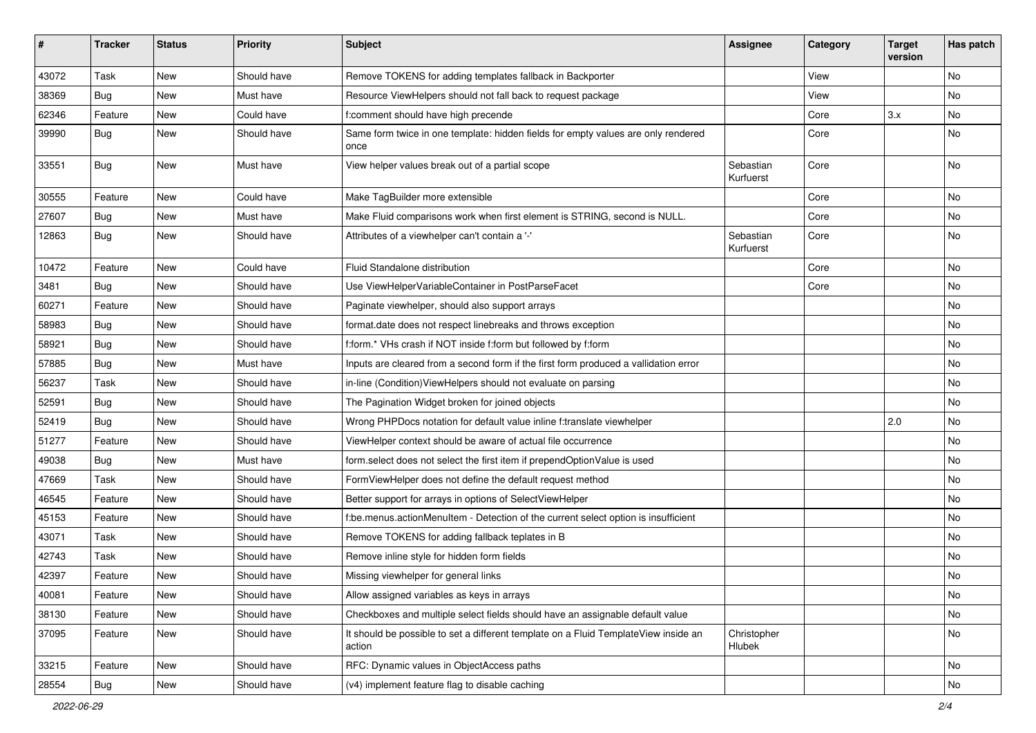| #     | <b>Tracker</b> | <b>Status</b> | <b>Priority</b> | <b>Subject</b>                                                                                | <b>Assignee</b>        | Category | <b>Target</b><br>version | Has patch |
|-------|----------------|---------------|-----------------|-----------------------------------------------------------------------------------------------|------------------------|----------|--------------------------|-----------|
| 43072 | Task           | New           | Should have     | Remove TOKENS for adding templates fallback in Backporter                                     |                        | View     |                          | <b>No</b> |
| 38369 | Bug            | New           | Must have       | Resource ViewHelpers should not fall back to request package                                  |                        | View     |                          | No        |
| 62346 | Feature        | New           | Could have      | f:comment should have high precende                                                           |                        | Core     | 3.x                      | No        |
| 39990 | Bug            | New           | Should have     | Same form twice in one template: hidden fields for empty values are only rendered<br>once     |                        | Core     |                          | <b>No</b> |
| 33551 | Bug            | New           | Must have       | View helper values break out of a partial scope                                               | Sebastian<br>Kurfuerst | Core     |                          | <b>No</b> |
| 30555 | Feature        | New           | Could have      | Make TagBuilder more extensible                                                               |                        | Core     |                          | No        |
| 27607 | Bug            | <b>New</b>    | Must have       | Make Fluid comparisons work when first element is STRING, second is NULL.                     |                        | Core     |                          | <b>No</b> |
| 12863 | Bug            | New           | Should have     | Attributes of a viewhelper can't contain a '-'                                                | Sebastian<br>Kurfuerst | Core     |                          | No        |
| 10472 | Feature        | New           | Could have      | Fluid Standalone distribution                                                                 |                        | Core     |                          | No        |
| 3481  | Bug            | New           | Should have     | Use ViewHelperVariableContainer in PostParseFacet                                             |                        | Core     |                          | No        |
| 60271 | Feature        | New           | Should have     | Paginate viewhelper, should also support arrays                                               |                        |          |                          | No        |
| 58983 | Bug            | New           | Should have     | format.date does not respect linebreaks and throws exception                                  |                        |          |                          | No        |
| 58921 | Bug            | New           | Should have     | f:form.* VHs crash if NOT inside f:form but followed by f:form                                |                        |          |                          | No        |
| 57885 | Bug            | New           | Must have       | Inputs are cleared from a second form if the first form produced a vallidation error          |                        |          |                          | No        |
| 56237 | Task           | New           | Should have     | in-line (Condition) View Helpers should not evaluate on parsing                               |                        |          |                          | No        |
| 52591 | Bug            | New           | Should have     | The Pagination Widget broken for joined objects                                               |                        |          |                          | No        |
| 52419 | Bug            | <b>New</b>    | Should have     | Wrong PHPDocs notation for default value inline f:translate viewhelper                        |                        |          | 2.0                      | No        |
| 51277 | Feature        | New           | Should have     | ViewHelper context should be aware of actual file occurrence                                  |                        |          |                          | No        |
| 49038 | Bug            | New           | Must have       | form.select does not select the first item if prependOptionValue is used                      |                        |          |                          | <b>No</b> |
| 47669 | Task           | New           | Should have     | FormViewHelper does not define the default request method                                     |                        |          |                          | No        |
| 46545 | Feature        | New           | Should have     | Better support for arrays in options of SelectViewHelper                                      |                        |          |                          | No        |
| 45153 | Feature        | New           | Should have     | f:be.menus.actionMenuItem - Detection of the current select option is insufficient            |                        |          |                          | <b>No</b> |
| 43071 | Task           | New           | Should have     | Remove TOKENS for adding fallback teplates in B                                               |                        |          |                          | No        |
| 42743 | Task           | New           | Should have     | Remove inline style for hidden form fields                                                    |                        |          |                          | <b>No</b> |
| 42397 | Feature        | New           | Should have     | Missing viewhelper for general links                                                          |                        |          |                          | No        |
| 40081 | Feature        | New           | Should have     | Allow assigned variables as keys in arrays                                                    |                        |          |                          | No        |
| 38130 | Feature        | New           | Should have     | Checkboxes and multiple select fields should have an assignable default value                 |                        |          |                          | No        |
| 37095 | Feature        | New           | Should have     | It should be possible to set a different template on a Fluid TemplateView inside an<br>action | Christopher<br>Hlubek  |          |                          | No        |
| 33215 | Feature        | New           | Should have     | RFC: Dynamic values in ObjectAccess paths                                                     |                        |          |                          | No        |
| 28554 | Bug            | New           | Should have     | (v4) implement feature flag to disable caching                                                |                        |          |                          | No        |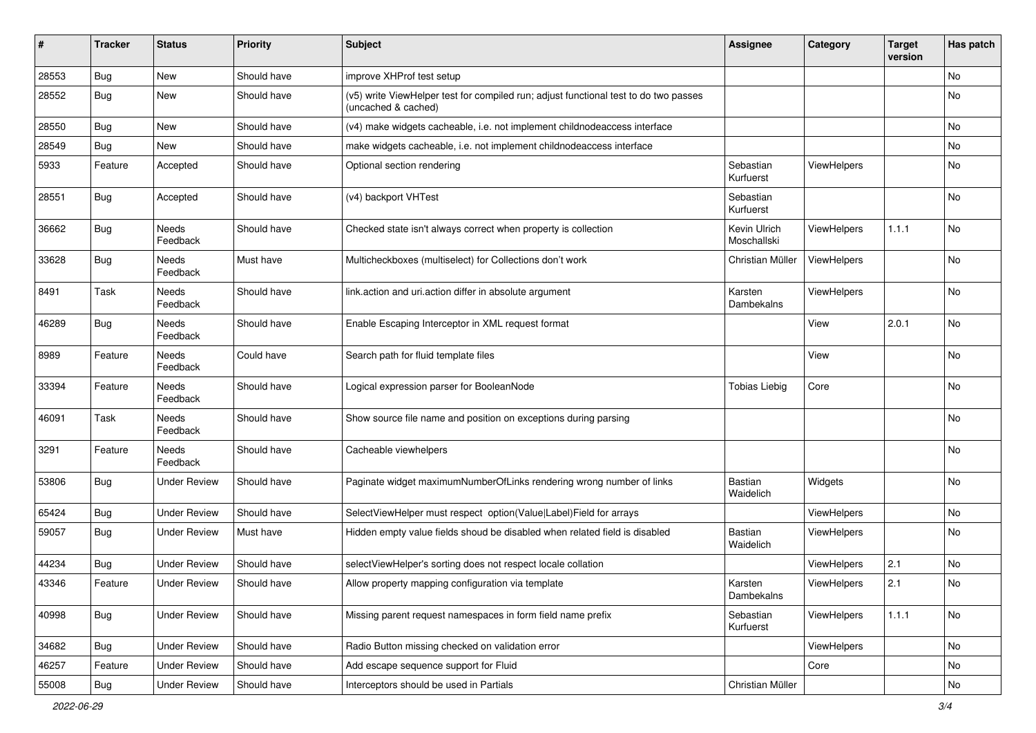| #     | <b>Tracker</b> | <b>Status</b>       | <b>Priority</b> | Subject                                                                                                     | <b>Assignee</b>             | Category    | <b>Target</b><br>version | Has patch |
|-------|----------------|---------------------|-----------------|-------------------------------------------------------------------------------------------------------------|-----------------------------|-------------|--------------------------|-----------|
| 28553 | Bug            | New                 | Should have     | improve XHProf test setup                                                                                   |                             |             |                          | No        |
| 28552 | Bug            | New                 | Should have     | (v5) write ViewHelper test for compiled run; adjust functional test to do two passes<br>(uncached & cached) |                             |             |                          | No        |
| 28550 | Bug            | New                 | Should have     | (v4) make widgets cacheable, i.e. not implement childnodeaccess interface                                   |                             |             |                          | No        |
| 28549 | Bug            | New                 | Should have     | make widgets cacheable, i.e. not implement childnodeaccess interface                                        |                             |             |                          | No        |
| 5933  | Feature        | Accepted            | Should have     | Optional section rendering                                                                                  | Sebastian<br>Kurfuerst      | ViewHelpers |                          | No        |
| 28551 | Bug            | Accepted            | Should have     | (v4) backport VHTest                                                                                        | Sebastian<br>Kurfuerst      |             |                          | <b>No</b> |
| 36662 | Bug            | Needs<br>Feedback   | Should have     | Checked state isn't always correct when property is collection                                              | Kevin Ulrich<br>Moschallski | ViewHelpers | 1.1.1                    | No        |
| 33628 | Bug            | Needs<br>Feedback   | Must have       | Multicheckboxes (multiselect) for Collections don't work                                                    | Christian Müller            | ViewHelpers |                          | No        |
| 8491  | Task           | Needs<br>Feedback   | Should have     | link.action and uri.action differ in absolute argument                                                      | Karsten<br>Dambekalns       | ViewHelpers |                          | No        |
| 46289 | Bug            | Needs<br>Feedback   | Should have     | Enable Escaping Interceptor in XML request format                                                           |                             | View        | 2.0.1                    | No        |
| 8989  | Feature        | Needs<br>Feedback   | Could have      | Search path for fluid template files                                                                        |                             | View        |                          | No        |
| 33394 | Feature        | Needs<br>Feedback   | Should have     | Logical expression parser for BooleanNode                                                                   | <b>Tobias Liebig</b>        | Core        |                          | No        |
| 46091 | Task           | Needs<br>Feedback   | Should have     | Show source file name and position on exceptions during parsing                                             |                             |             |                          | No        |
| 3291  | Feature        | Needs<br>Feedback   | Should have     | Cacheable viewhelpers                                                                                       |                             |             |                          | No        |
| 53806 | Bug            | <b>Under Review</b> | Should have     | Paginate widget maximumNumberOfLinks rendering wrong number of links                                        | <b>Bastian</b><br>Waidelich | Widgets     |                          | <b>No</b> |
| 65424 | Bug            | <b>Under Review</b> | Should have     | SelectViewHelper must respect option(Value Label)Field for arrays                                           |                             | ViewHelpers |                          | No        |
| 59057 | Bug            | <b>Under Review</b> | Must have       | Hidden empty value fields shoud be disabled when related field is disabled                                  | <b>Bastian</b><br>Waidelich | ViewHelpers |                          | No        |
| 44234 | Bug            | <b>Under Review</b> | Should have     | selectViewHelper's sorting does not respect locale collation                                                |                             | ViewHelpers | 2.1                      | No        |
| 43346 | Feature        | Under Review        | Should have     | Allow property mapping configuration via template                                                           | Karsten<br>Dambekalns       | ViewHelpers | 2.1                      | No        |
| 40998 | <b>Bug</b>     | <b>Under Review</b> | Should have     | Missing parent request namespaces in form field name prefix                                                 | Sebastian<br>Kurfuerst      | ViewHelpers | 1.1.1                    | No        |
| 34682 | Bug            | <b>Under Review</b> | Should have     | Radio Button missing checked on validation error                                                            |                             | ViewHelpers |                          | No        |
| 46257 | Feature        | <b>Under Review</b> | Should have     | Add escape sequence support for Fluid                                                                       |                             | Core        |                          | No        |
| 55008 | Bug            | <b>Under Review</b> | Should have     | Interceptors should be used in Partials                                                                     | Christian Müller            |             |                          | No        |